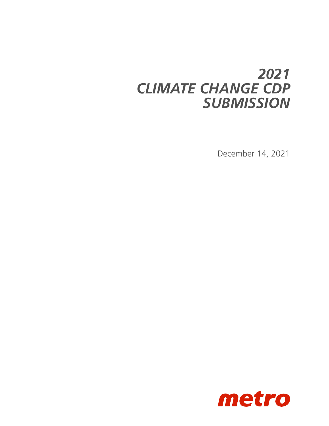# *2021 CLIMATE CHANGE CDP SUBMISSION*

December 14, 2021

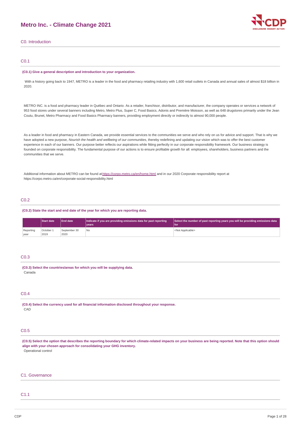### **Metro Inc. - Climate Change 2021**



C0. Introduction

### C0.1

#### **(C0.1) Give a general description and introduction to your organization.**

With a history going back to 1947. METRO is a leader in the food and pharmacy retailing industry with 1,600 retail outlets in Canada and annual sales of almost \$18 billion in 2020.

METRO INC. is a food and pharmacy leader in Québec and Ontario. As a retailer, franchisor, distributor, and manufacturer, the company operates or services a network of 953 food stores under several banners including Metro, Metro Plus, Super C, Food Basics, Adonis and Première Moisson, as well as 648 drugstores primarily under the Jean Coutu, Brunet, Metro Pharmacy and Food Basics Pharmacy banners, providing employment directly or indirectly to almost 90,000 people.

As a leader in food and pharmacy in Eastern Canada, we provide essential services to the communities we serve and who rely on us for advice and support. That is why we have adopted a new purpose, *Nourish the health and wellbeing of our communities*, thereby redefining and updating our vision which was to offer the best customer experience in each of our banners. Our purpose better reflects our aspirations while fitting perfectly in our corporate responsibility framework. Our business strategy is founded on corporate responsibility. The fundamental purpose of our actions is to ensure profitable growth for all: employees, shareholders, business partners and the communities that we serve.

Additional information about METRO can be found athttps://corpo.metro.ca/en/home.html and in our 2020 Corporate responsibility report at https://corpo.metro.ca/en/corporate-social-responsibility.html

#### C0.2

#### **(C0.2) State the start and end date of the year for which you are reporting data.**

|           | <b>Start date</b> | <b>End date</b> | Indicate if you are providing emissions data for past reporting | Select the number of past reporting years you will be providing emissions data |
|-----------|-------------------|-----------------|-----------------------------------------------------------------|--------------------------------------------------------------------------------|
|           |                   |                 | vears                                                           | l for                                                                          |
| Reporting | October 1         | September 30    | No                                                              | <not applicable=""></not>                                                      |
| vear      | 2019              | 2020            |                                                                 |                                                                                |

### C0.3

**(C0.3) Select the countries/areas for which you will be supplying data.** Canada

#### C0.4

**(C0.4) Select the currency used for all financial information disclosed throughout your response.** C<sub>AD</sub>

### C0.5

(C0.5) Select the option that describes the reporting boundary for which climate-related impacts on your business are being reported. Note that this option should **align with your chosen approach for consolidating your GHG inventory.** Operational control

#### C1. Governance

#### C1.1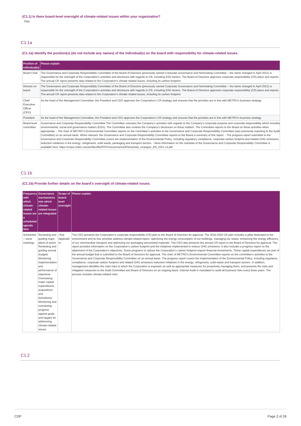### C1.1a

### (C1.1a) Identify the position(s) (do not include any names) of the individual(s) on the board with responsibility for climate-related issues.

| <b>Position of</b><br>individual(s)    | Please explain                                                                                                                                                                                                                                                                                                                                                                                                                                                                                                                                                                                                                                                                                                                                                                                                                                                                                                                                                                                                                                                                                                                                                                                                                                                                                          |
|----------------------------------------|---------------------------------------------------------------------------------------------------------------------------------------------------------------------------------------------------------------------------------------------------------------------------------------------------------------------------------------------------------------------------------------------------------------------------------------------------------------------------------------------------------------------------------------------------------------------------------------------------------------------------------------------------------------------------------------------------------------------------------------------------------------------------------------------------------------------------------------------------------------------------------------------------------------------------------------------------------------------------------------------------------------------------------------------------------------------------------------------------------------------------------------------------------------------------------------------------------------------------------------------------------------------------------------------------------|
| Board Chair                            | The Governance and Corporate Responsibility Committee of the Board of Directors (previously named Corporate Governance and Nominating Committee - the name changed in April 2021) is<br>responsible for the oversight of the Corporation's activities and disclosure with regards to CR, including ESG factors. The Board of Directors approves corporate responsibility (CR) plans and reports.<br>The annual CR report presents data related to the Corporation's climate related issues, including its carbon footprint.                                                                                                                                                                                                                                                                                                                                                                                                                                                                                                                                                                                                                                                                                                                                                                             |
| Director on<br>board                   | The Governance and Corporate Responsibility Committee of the Board of Directors (previously named Corporate Governance and Nominating Committee - the name changed in April 2021) is<br>responsible for the oversight of the Corporation's activities and disclosure with regards to CR, including ESG factors. The Board of Directors approves corporate responsibility (CR) plans and reports.<br>The annual CR report presents data related to the Corporation's climate related issues, including its carbon footprint.                                                                                                                                                                                                                                                                                                                                                                                                                                                                                                                                                                                                                                                                                                                                                                             |
| Chief<br>Executive<br>Officer<br>(CEO) | As the head of the Management Committee, the President and CEO approves the Corporation's CR strategy and ensures that the priorities are in line with METRO's business strategy                                                                                                                                                                                                                                                                                                                                                                                                                                                                                                                                                                                                                                                                                                                                                                                                                                                                                                                                                                                                                                                                                                                        |
| President                              | As the head of the Management Committee, the President and CEO approves the Corporation's CR strategy and ensures that the priorities are in line with METRO's business strategy                                                                                                                                                                                                                                                                                                                                                                                                                                                                                                                                                                                                                                                                                                                                                                                                                                                                                                                                                                                                                                                                                                                        |
| Board-level<br>committee               | Governance and Corporate Responsibility Committee The Committee oversees the Company's activities with regards to the Company's corporate purpose and corporate responsibility which includes<br>environmental, social and governance matters (ESG). The Committee also reviews the Company's disclosure on these matters. The Committee reports to the Board on these activities when<br>appropriate. - The chair of METRO's Environmental Committee reports on the committee's activities to the Governance and Corporate Responsibility Committee (was previously reporting to the Audit<br>Committee) on an annual basis. When relevant, the Governance and Corporate Responsibility Committee reports to the Board a summary of this report. - The progress report submitted to the<br>Governance and Corporate Responsibility Committee covers the implementation of the Environmental Policy, including regulatory compliance, corporate carbon footprint and related GHG emissions<br>reduction initiatives in the energy, refrigerants, solid waste, packaging and transport sectors. - More information on the mandate of the Governance and Corporate Responsibility Committee is<br>available here: https://corpo.metro.ca/userfiles/file/PDF/Gouvernance/EN/mandat_corpogov_EN_2021-v2.pdf |

### C1.1b

### **(C1.1b) Provide further details on the board's oversight of climate-related issues.**

| <b>Frequency</b><br>l with<br><b>which</b><br>climate-<br><b>related</b><br>a<br>scheduled<br>agenda<br>item | <b>Governance</b><br>mechanisms<br>into which<br>climate-<br>related issues<br><b>issues are are integrated</b>                                                                                                                                                                                                                                                                                                               | <b>Scope of</b><br>board-<br>level<br>oversight | Please explain                                                                                                                                                                                                                                                                                                                                                                                                                                                                                                                                                                                                                                                                                                                                                                                                                                                                                                                                                                                                                                                                                                                                                                                                                                                                                                                                                                                                                                                                                                                                                                                                                                                                                                                                                                                              |
|--------------------------------------------------------------------------------------------------------------|-------------------------------------------------------------------------------------------------------------------------------------------------------------------------------------------------------------------------------------------------------------------------------------------------------------------------------------------------------------------------------------------------------------------------------|-------------------------------------------------|-------------------------------------------------------------------------------------------------------------------------------------------------------------------------------------------------------------------------------------------------------------------------------------------------------------------------------------------------------------------------------------------------------------------------------------------------------------------------------------------------------------------------------------------------------------------------------------------------------------------------------------------------------------------------------------------------------------------------------------------------------------------------------------------------------------------------------------------------------------------------------------------------------------------------------------------------------------------------------------------------------------------------------------------------------------------------------------------------------------------------------------------------------------------------------------------------------------------------------------------------------------------------------------------------------------------------------------------------------------------------------------------------------------------------------------------------------------------------------------------------------------------------------------------------------------------------------------------------------------------------------------------------------------------------------------------------------------------------------------------------------------------------------------------------------------|
| Scheduled<br>- some<br>meetings                                                                              | Reviewing and <not<br>quiding major<br/>plans of action<br/>Reviewing and<br/>quiding annual<br/>budgets<br/>Monitorina<br/>implementation<br/>and<br/>performance of<br/>objectives<br/>Overseeing<br/>major capital<br/>expenditures,<br/>acquisitions<br/>and<br/>divestitures<br/>Monitoring and<br/>overseeing<br/>progress<br/>against goals<br/>and targets for<br/>addressing<br/>climate-related<br/>issues</not<br> | Applicabl<br> e>                                | The CEO presents the Corporation's corporate responsibility (CR) plan to the Board of Directors for approval. The 2016-2020 CR plan includes a pillar dedicated to the<br>environment and its four priorities address climate-related topics: optimizing the energy consumption of our buildings, managing our waste, enhancing the energy efficiency<br>of our merchandise transport and optimizing our packaging and printed materials. The CEO also presents the annual CR report to the Board of Directors for approval. The<br>report provides information on the Corporation's carbon footprint and the initiatives implemented to reduce GHG emissions. It also includes a progress report on the<br>attainment of the Corporation's objectives. Some programs to reduce the Corporation's carbon footprint require financial investments. These capital expenditures are part of<br>the annual budget that is submitted to the Board of Directors for approval. The chair of METRO's Environmental Committee reports on the committee's activities to the<br>Governance and Corporate Responsibility Committee on an annual basis. The progress report covers the implementation of the Environmental Policy, including regulatory<br>compliance, corporate carbon footprint and related GHG emissions reduction initiatives in the energy, refrigerants, solid waste and transport sectors. In addition,<br>management identifies the main risks to which the Corporation is exposed, as well as appropriate measures for proactively managing them, and presents the risks and<br>mitigation measures to the Audit Committee and Board of Directors on an ongoing basis. Internal Audit is mandated to audit all business risks every three years. The<br>process includes climate-related risks. |

### C1.2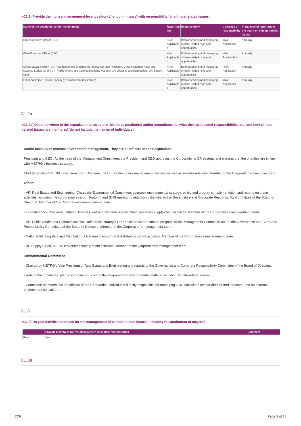#### **(C1.2) Provide the highest management-level position(s) or committee(s) with responsibility for climate-related issues.**

| Name of the position(s) and/or committee(s)                                                                                                                                                                                                | lline                                                                                                                                                                                     | <b>Reporting Responsibility</b>                                                        | Coverage of            | <b>Frequency of reporting to</b><br>responsibility the board on climate-related<br><b>issues</b> |
|--------------------------------------------------------------------------------------------------------------------------------------------------------------------------------------------------------------------------------------------|-------------------------------------------------------------------------------------------------------------------------------------------------------------------------------------------|----------------------------------------------------------------------------------------|------------------------|--------------------------------------------------------------------------------------------------|
| Chief Executive Officer (CEO)                                                                                                                                                                                                              | $<$ Not                                                                                                                                                                                   | Both assessing and managing<br>Applicable   climate-related risks and<br>opportunities | $<$ Not<br>Applicable> | Annually                                                                                         |
| Chief Financial Officer (CFO)                                                                                                                                                                                                              | $ $ <not< td=""><td>Both assessing and managing<br/>Applicable   climate-related risks and<br/>opportunities</td><td><math>&lt;</math>Not<br/>Applicable&gt;</td><td>Annually</td></not<> | Both assessing and managing<br>Applicable   climate-related risks and<br>opportunities | $<$ Not<br>Applicable> | Annually                                                                                         |
| Other, please specify (VP, Real Estate and Engineering; Executive Vice President, Ontario Division Head and<br>National Supply Chain; VP, Public Affairs and Communications; National VP, Logistics and Distribution; VP, Supply<br>Chain) | $<$ Not                                                                                                                                                                                   | Both assessing and managing<br>Applicable   climate-related risks and<br>opportunities | $<$ Not<br>Applicable> | Annually                                                                                         |
| Other committee, please specify (Environmental Committee)                                                                                                                                                                                  | $ $ <not< td=""><td>Both assessing and managing<br/>Applicable   climate-related risks and<br/>opportunities</td><td><math>&lt;</math>Not<br/>Applicable&gt;</td><td>Annually</td></not<> | Both assessing and managing<br>Applicable   climate-related risks and<br>opportunities | $<$ Not<br>Applicable> | Annually                                                                                         |

### C1.2a

(C1.2a) Describe where in the organizational structure this/these position(s) and/or committees lie, what their associated responsibilities are, and how climate**related issues are monitored (do not include the names of individuals).**

#### **Senior executives oversee environment management. They are all officers of the Corporation.**

President and CEO: As the head of the Management Committee, the President and CEO approves the Corporation's CR strategy and ensures that the priorities are in line with METRO's business strategy.

CFO (Executive VP, CFO and Treasurer): Oversees the Corporation's risk management system, as well as investor relations. Member of the Corporation's executive team.

#### **Other:**

- VP, Real Estate and Engineering: Chairs the Environmental Committee, oversees environmental strategy, policy and programs implementation and reports on these activities, including the corporation's carbon footprint and GHG emissions reduction initiatives, to the Governance and Corporate Responsibility Committee of the Board of Directors. Member of the Corporation's management team.

- Executive Vice President, Ontario Division Head and National Supply Chain: oversees supply chain activities. Member of the Corporation's management team.

- VP, Public Affairs and Communications: Defines the strategic CR directions and reports on progress to the Management Committee and to the Governance and Corporate Responsibility Committee of the Board of Directors. Member of the Corporation's management team.

- National VP, Logistics and Distribution: Oversees transport and distribution centre activities. Member of the Corporation's management team.

- VP Supply Chain, METRO: oversees supply chain activities. Member of the Corporation's management team.

#### **Environmental Committee**

- Chaired by METRO's Vice President of Real Estate and Engineering and reports to the Governance and Corporate Responsibility Committee of the Board of Directors.

- Role of the committee: plan, coordinate and control the Corporation's environmental matters, including climate-related issues.

- Committee members include officers of the Corporation, individuals directly responsible for managing GHG emissions (senior director and directors) and an external environment consultant.

### C1.3

(C1.3) Do you provide incentives for the management of climate-related issues, including the attainment of targets?

|       | <i>issues</i><br>for the management of climate-related is.<br><b>incentives</b><br>- TOP | omment |
|-------|------------------------------------------------------------------------------------------|--------|
| Row 1 |                                                                                          |        |
|       |                                                                                          |        |

### C1.3a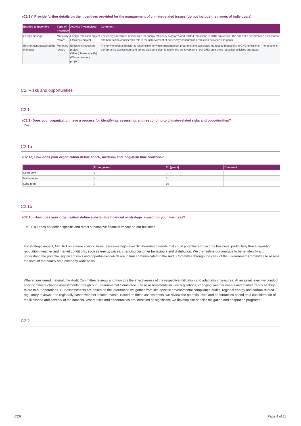#### (C1.3a) Provide further details on the incentives provided for the management of climate-related issues (do not include the names of individuals).

| <b>Entitled to incentive</b>                                           | Type of       | <b>Activity inventivized</b>                                     | <b>Comment</b>                                                                                                                                                                                                                                                                                         |
|------------------------------------------------------------------------|---------------|------------------------------------------------------------------|--------------------------------------------------------------------------------------------------------------------------------------------------------------------------------------------------------------------------------------------------------------------------------------------------------|
|                                                                        | l incentive l |                                                                  |                                                                                                                                                                                                                                                                                                        |
| Energy manager                                                         | reward        | Efficiency project                                               | Monetary   Energy reduction project  The energy director is responsible for energy efficiency programs and related reductions in GHG emissions. The director's performance assessment<br>and bonus plan consider his role in the achievement of our energy consumption reduction activities and goals. |
| Environment/Sustainability   Monetary   Emissions reduction<br>manager | reward        | project<br>Other (please specify)<br>(Waste recovery<br>project) | The environmental director is responsible for waste management programs and calculates the related reductions in GHG emissions. The director's<br>performance assessment and bonus plan consider his role in the achievement of our GHG emissions reduction activities and goals.                      |

#### C2. Risks and opportunities

### C2.1

(C2.1) Does your organization have a process for identifying, assessing, and responding to climate-related risks and opportunities? Yes

### C2.1a

#### **(C2.1a) How does your organization define short-, medium- and long-term time horizons?**

|             | From (years) | To (years) | Comment |
|-------------|--------------|------------|---------|
| Short-term  |              |            |         |
| Medium-term |              |            |         |
| Long-term   |              | 10         |         |

#### C2.1b

#### **(C2.1b) How does your organization define substantive financial or strategic impact on your business?**

METRO does not define specific and direct substantive financial impact on our business.

For strategic impact, METRO on a more specific basis, assesses high-level climate-related trends that could potentially impact the business, particularly those regarding reputation, weather and market conditions, such as energy prices, changing customer behaviours and distribution. We then refine our analysis to better identify and understand the potential significant risks and opportunities which are in turn communicated to the Audit Committee through the chair of the Environment Committee to assess the level of materiality on a company-wide basis.

Where considered material, the Audit Committee reviews and monitors the effectiveness of the respective mitigation and adaptation measures. At an asset level, we conduct specific climate change assessments through our Environmental Committee. These assessments include regulations, changing weather events and market trends as they relate to our operations. Our assessments are based on the information we gather from site-specific environmental compliance audits, regional energy and carbon-related regulatory reviews, and regionally based weather-related events. Based on these assessments, we review the potential risks and opportunities based on a consideration of the likelihood and severity of the impacts. Where risks and opportunities are identified as significant, we develop site-specific mitigation and adaptation programs.

C2.2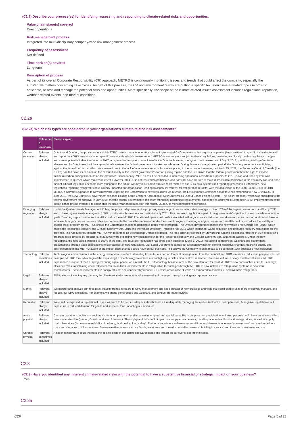#### **(C2.2) Describe your process(es) for identifying, assessing and responding to climate-related risks and opportunities.**

**Value chain stage(s) covered** Direct operations

#### **Risk management process**

Integrated into multi-disciplinary company-wide risk management process

**Frequency of assessment** Not defined

**Time horizon(s) covered**

Long-term

### **Description of process**

As part of its overall Corporate Responsibility (CR) approach, METRO is continuously monitoring issues and trends that could affect the company, especially the substantive matters concerning its activities. As part of this process, the CR and environment teams are putting a specific focus on climate-related topics in order to anticipate, assess and manage the potential risks and opportunities. More specifically, the scope of the climate-related issues assessment includes regulations, reputation, weather-related events, and market conditions.

### C2.2a

#### **(C2.2a) Which risk types are considered in your organization's climate-related risk assessments?**

|                        | &<br>inclusion                     | Relevance Please explain                                                                                                                                                                                                                                                                                                                                                                                                                                                                                                                                                                                                                                                                                                                                                                                                                                                                                                                                                                                                                                                                                                                                                                                                                                                                                                                                                                                                                                                                                                                                                                                                                                                                                                                                                                                                                                                                                                                                                                                                                                                                                                                                                                                                                                                                                                                                                                                                                                                                                                                                                                                    |
|------------------------|------------------------------------|-------------------------------------------------------------------------------------------------------------------------------------------------------------------------------------------------------------------------------------------------------------------------------------------------------------------------------------------------------------------------------------------------------------------------------------------------------------------------------------------------------------------------------------------------------------------------------------------------------------------------------------------------------------------------------------------------------------------------------------------------------------------------------------------------------------------------------------------------------------------------------------------------------------------------------------------------------------------------------------------------------------------------------------------------------------------------------------------------------------------------------------------------------------------------------------------------------------------------------------------------------------------------------------------------------------------------------------------------------------------------------------------------------------------------------------------------------------------------------------------------------------------------------------------------------------------------------------------------------------------------------------------------------------------------------------------------------------------------------------------------------------------------------------------------------------------------------------------------------------------------------------------------------------------------------------------------------------------------------------------------------------------------------------------------------------------------------------------------------------------------------------------------------------------------------------------------------------------------------------------------------------------------------------------------------------------------------------------------------------------------------------------------------------------------------------------------------------------------------------------------------------------------------------------------------------------------------------------------------------|
| Current<br>regulation  | Relevant,<br>always<br>included    | Ontario and Québec, the provinces in which METRO mainly conducts operations, have implemented GHG regulations that require companies (large emitters) in specific industries to audit<br>and report their GHG emissions when specific emission thresholds are exceeded. METRO is currently not subject to these regulations, however, we closely monitor regulatory changes<br>and assess potential indirect impacts. In 2017, a cap-and-trade system came into effect in Ontario, however, the system was revoked as of July 3, 2018, prohibiting trading of emission<br>allowances. As Ontario revoked the cap-and-trade system, the federal government invoked a carbon tax. During this report's application period, the Ontario government was fighting<br>against the federal carbon tax which was invoked due to the lack of adequate standards for carbon pricing in the province. However, on March 25, 2021, the Supreme Court of Canada (the<br>"SCC") handed down its decision on the constitutionality of the federal government's carbon pricing regime and the SCC ruled that the federal government has the right to impose<br>minimum carbon-pricing standards on the provinces. Consequently, METRO could be exposed to increasing operational costs from suppliers. In 2013, a cap-and-trade system was<br>implemented in Quebec which remains in effect. However, METRO is not required to participate, and does not have the size to make it practical to participate in the voluntary cap-and-trade<br>market. Should regulations become more stringent in the future, we may incur administrative costs related to our GHG data systems and reporting processes. Furthermore, new<br>regulations regarding refrigerants have already impacted our organization, leading to capital investment for refrigeration retrofits. With the acquisition of the Jean Coutu Group in 2018,<br>METRO's activities expanded to New Brunswick, exposing the Corporation to new regulations. As a result, the Environment Committee's mandate has expanded to New Brunswick. In<br>June 2019, the New Brunswick government released Holding Large Emitters Accountable: New Brunswick's Output-Based Pricing System. This policy proposal, which was submitted to the<br>federal government for approval in July 2019, met the federal government's minimum stringency benchmark requirements, and received approval in September 2020. Implementation of the<br>output-based pricing system is to occur after the fiscal year associated with this report. METRO is monitoring potential impacts. |
| Emerging<br>regulation | Relevant,<br>always<br>included    | Under the Québec Waste Management Policy, the provincial government is proposing a new organic waste valorization strategy to divert 70% of the organic waste from landfills by 2030<br>and to have organic waste managed in 100% of industries, businesses and institutions by 2025. This proposed regulation is part of the governments' objective to meet its carbon reduction<br>goals. Diverting organic waste from landfills could expose METRO to additional operational costs associated with organic waste reduction and diversion, since the Corporation will have to<br>increase its organic waste recovery rates as compared to the quantities recovered under the current program. Diverting of organic waste from landfills could also reduce the viability of<br>carbon credit program for METRO, should the Corporation choose to participate in this type of program. The Ontario government passed the new Waste-Free Ontario Act (2016), which<br>enacts the Resource Recovery and Circular Economy Act, 2016 and the Waste Diversion Transition Act, 2016 which implement waste reduction and resource recovery regulations for the<br>province. The Act currently impacts METRO with regards to its Stewardship Ontario obligation. The fees originally covered by Stewardship Ontario obligations resulted in 50% of recycling<br>program costs covered by producers. In 2020 we were expecting new regulations under the Resource Recovery and Circular Economy Act, 2016 to be adopted. Under the new<br>regulations, the fees would increase to 100% of the cost. The Blue Box Regulation has since been published (June 3, 2021). We attend conferences, webinars and government<br>presentations through trade associations to stay abreast of new regulations. Our Legal Department carries out a constant watch on coming legislative changes regarding energy and<br>environment to make METRO aware of the impact such changes could have on our business. This allows the Company to plan ahead to be compliant with applicable new legislation.                                                                                                                                                                                                                                                                                                                                                                                                                                                                                                                            |
| Technology             | Relevant,<br>sometimes<br>included | Technological advancements in the energy sector can represent interesting levers for our carbon footprint management, from the financial and GHG emissions reductions perspectives. For<br>example, METRO took advantage of the expanding LED technology to replace current lighting in distribution centres, renovated stores as well as in newly constructed stores. METRO<br>experienced success of the LED projects during a pilot phase. As a result, the LED technology became in 2017 the new standard for all of METRO's new constructions due to its energy<br>efficiency, while maintaining visual effectiveness. In addition, advancements in refrigeration technologies brought METRO to now install CO2 refrigeration systems in new store<br>constructions. These advancements are energy efficient and considerably reduce GHG emissions in case of leaks as compared to commonly used synthetic refrigerants.                                                                                                                                                                                                                                                                                                                                                                                                                                                                                                                                                                                                                                                                                                                                                                                                                                                                                                                                                                                                                                                                                                                                                                                                                                                                                                                                                                                                                                                                                                                                                                                                                                                                               |
| Legal                  | Relevant,<br>always<br>included    | All litigations - including any that may be climate-related – are monitored, assessed and managed through a stringent corporate process.                                                                                                                                                                                                                                                                                                                                                                                                                                                                                                                                                                                                                                                                                                                                                                                                                                                                                                                                                                                                                                                                                                                                                                                                                                                                                                                                                                                                                                                                                                                                                                                                                                                                                                                                                                                                                                                                                                                                                                                                                                                                                                                                                                                                                                                                                                                                                                                                                                                                    |
| Market                 | Relevant.<br>always<br>included    | We monitor and analyze agri-food retail industry trends in regard to GHG management and keep abreast of new practices and tools that could enable us to more effectively manage, and<br>reduce, our GHG emissions. For example, we attend conferences and webinars, and conduct literature reviews.                                                                                                                                                                                                                                                                                                                                                                                                                                                                                                                                                                                                                                                                                                                                                                                                                                                                                                                                                                                                                                                                                                                                                                                                                                                                                                                                                                                                                                                                                                                                                                                                                                                                                                                                                                                                                                                                                                                                                                                                                                                                                                                                                                                                                                                                                                         |
| Reputation             | Relevant,<br>always<br>included    | We could be exposed to reputational risks if we were to be perceived by our stakeholders as inadequately managing the carbon footprint of our operations. A negative reputation could<br>expose us to reduced demand for goods and services, thus impacting our revenues.                                                                                                                                                                                                                                                                                                                                                                                                                                                                                                                                                                                                                                                                                                                                                                                                                                                                                                                                                                                                                                                                                                                                                                                                                                                                                                                                                                                                                                                                                                                                                                                                                                                                                                                                                                                                                                                                                                                                                                                                                                                                                                                                                                                                                                                                                                                                   |
| Acute<br>physical      | Relevant,<br>always<br>included    | Changing weather conditions – such as extreme temperatures, and increase in temporal and spatial variability in temperature, precipitation and wind patterns could have an adverse effect<br>on our operations in Québec, Ontario and New Brunswick. These physical risks could impact our supply chain network, resulting in increased food and energy prices, as well as supply<br>chain disruptions (for instance, reliability of delivery, food quality, food safety). Furthermore, winters with extreme conditions could result in increased snow removal and service delivery<br>costs and damages to infrastructures. Severe weather events such as floods, ice storms and tornados, could increase our building insurance premiums and maintenance costs.                                                                                                                                                                                                                                                                                                                                                                                                                                                                                                                                                                                                                                                                                                                                                                                                                                                                                                                                                                                                                                                                                                                                                                                                                                                                                                                                                                                                                                                                                                                                                                                                                                                                                                                                                                                                                                           |
| Chronic<br>physical    | Relevant,<br>sometimes<br>included | A rise in temperature could increase the cooling costs in our stores and warehouses and impact on our overall operational costs.                                                                                                                                                                                                                                                                                                                                                                                                                                                                                                                                                                                                                                                                                                                                                                                                                                                                                                                                                                                                                                                                                                                                                                                                                                                                                                                                                                                                                                                                                                                                                                                                                                                                                                                                                                                                                                                                                                                                                                                                                                                                                                                                                                                                                                                                                                                                                                                                                                                                            |

### C2.3

(C2.3) Have you identified any inherent climate-related risks with the potential to have a substantive financial or strategic impact on your business? Yes

### C2.3a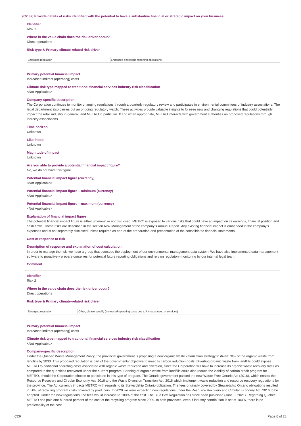#### (C2.3a) Provide details of risks identified with the potential to have a substantive financial or strategic impact on your business.

#### **Identifier**

Risk 1

**Where in the value chain does the risk driver occur?**

Direct operations

### **Risk type & Primary climate-related risk driver**

Emerging regulation Enhanced emissions-reporting obligations

### **Primary potential financial impact**

Increased indirect (operating) costs

**Climate risk type mapped to traditional financial services industry risk classification** <Not Applicable>

### **Company-specific description**

The Corporation continues to monitor changing regulations through a quarterly regulatory review and participates in environmental committees of industry associations. The legal department also carries out an ongoing regulatory watch. These activities provide valuable insights to foresee new and changing regulations that could potentially impact the retail industry in general, and METRO in particular. If and when appropriate, METRO interacts with government authorities on proposed regulations through industry associations.

**Time horizon**

Unknown

**Likelihood**

Unknown

#### **Magnitude of impact**

Unknown

#### **Are you able to provide a potential financial impact figure?**

No, we do not have this figure

**Potential financial impact figure (currency)** <Not Applicable>

**Potential financial impact figure – minimum (currency)** <Not Applicable>

#### **Potential financial impact figure – maximum (currency)**

<Not Applicable>

#### **Explanation of financial impact figure**

The potential financial impact figure is either unknown or not disclosed. METRO is exposed to various risks that could have an impact on its earnings, financial position and cash flows. These risks are described in the section Risk Management of the company's Annual Report. Any existing financial impact is embedded in the company's expenses and is not separately disclosed unless required as part of the preparation and presentation of the consolidated financial statements.

#### **Cost of response to risk**

#### **Description of response and explanation of cost calculation**

In order to manage the risk, we have a group that oversees the deployment of our environmental management data system. We have also implemented data management software to proactively prepare ourselves for potential future reporting obligations and rely on regulatory monitoring by our internal legal team.

#### **Comment**

**Identifier**

Risk 2

#### **Where in the value chain does the risk driver occur?**

Direct operations

#### **Risk type & Primary climate-related risk driver**

Emerging regulation **CHACK CORTACK CONTERNATION** Other, please specify (Increased operating costs due to increase need of services)

#### **Primary potential financial impact**

Increased indirect (operating) costs

#### **Climate risk type mapped to traditional financial services industry risk classification** <Not Applicable>

### **Company-specific description**

Under the Québec Waste Management Policy, the provincial government is proposing a new organic waste valorization strategy to divert 70% of the organic waste from landfills by 2030. This proposed regulation is part of the governments' objective to meet its carbon reduction goals. Diverting organic waste from landfills could expose METRO to additional operating costs associated with organic waste reduction and diversion, since the Corporation will have to increase its organic waste recovery rates as compared to the quantities recovered under the current program. Banning of organic waste from landfills could also reduce the viability of carbon credit program for METRO, should the Corporation choose to participate in this type of program. The Ontario government passed the new Waste-Free Ontario Act (2016), which enacts the Resource Recovery and Circular Economy Act, 2016 and the Waste Diversion Transition Act, 2016 which implement waste reduction and resource recovery regulations for the province. The Act currently impacts METRO with regards to its Stewardship Ontario obligation. The fees originally covered by Stewardship Ontario obligations resulted in 50% of recycling program costs covered by producers. In 2020 we were expecting new regulations under the Resource Recovery and Circular Economy Act, 2016 to be adopted. Under the new regulations, the fees would increase to 100% of the cost. The Blue Box Regulation has since been published (June 3, 2021). Regarding Quebec, METRO has paid one hundred percent of the cost of the recycling program since 2009. In both provinces, even if industry contribution is set at 100%, there is no predictability of the cost.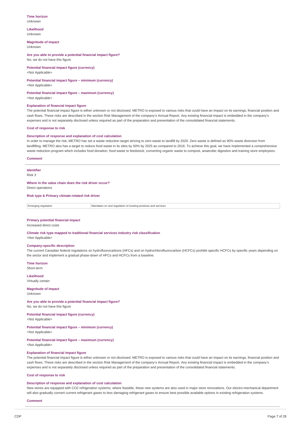#### **Time horizon** Unknown

**Likelihood** Unknown

#### **Magnitude of impact**

Unknown

**Are you able to provide a potential financial impact figure?** No, we do not have this figure

### **Potential financial impact figure (currency)**

<Not Applicable>

### **Potential financial impact figure – minimum (currency)**

<Not Applicable>

#### **Potential financial impact figure – maximum (currency)** <Not Applicable>

#### **Explanation of financial impact figure**

The potential financial impact figure is either unknown or not disclosed. METRO is exposed to various risks that could have an impact on its earnings, financial position and cash flows. These risks are described in the section Risk Management of the company's Annual Report. Any existing financial impact is embedded in the company's expenses and is not separately disclosed unless required as part of the preparation and presentation of the consolidated financial statements.

#### **Cost of response to risk**

### **Description of response and explanation of cost calculation**

In order to manage the risk, METRO has set a waste reduction target striving to zero waste to landfill by 2020. Zero waste is defined as 90% waste diversion from landfilling. METRO also has a target to reduce food waste in its sites by 50% by 2025 as compared to 2016. To achieve this goal, we have implemented a comprehensive waste reduction program which includes food donation, food waste to feedstock, converting organic waste to compost, anaerobic digestion and training store employees.

#### **Comment**

**Identifier**

### Risk 3

#### **Where in the value chain does the risk driver occur?**

Direct operations

#### **Risk type & Primary climate-related risk driver**

Emerging regulation Mandates on and regulation of existing products and services

#### **Primary potential financial impact**

Increased direct costs

**Climate risk type mapped to traditional financial services industry risk classification** <Not Annlicable>

#### **Company-specific description**

The current Canadian federal regulations on hydrofluorocarbons (HFCs) and on hydrochlorofluorocarbon (HCFCs) prohibit specific HCFCs by specific years depending on the sector and implement a gradual phase-down of HFCs and HCFCs from a baseline.

#### **Time horizon**

Short-term

**Likelihood** Virtually certain

#### **Magnitude of impact**

Unknown

**Are you able to provide a potential financial impact figure?** No, we do not have this figure

**Potential financial impact figure (currency)**

<Not Applicable>

#### **Potential financial impact figure – minimum (currency)** <Not Applicable>

#### **Potential financial impact figure – maximum (currency)** <Not Applicable>

#### **Explanation of financial impact figure**

The potential financial impact figure is either unknown or not disclosed. METRO is exposed to various risks that could have an impact on its earnings, financial position and cash flows. These risks are described in the section Risk Management of the company's Annual Report. Any existing financial impact is embedded in the company's expenses and is not separately disclosed unless required as part of the preparation and presentation of the consolidated financial statements.

#### **Cost of response to risk**

#### **Description of response and explanation of cost calculation**

New stores are equipped with CO2 refrigeration systems; where feasible, these new systems are also used in major store renovations. Our electro-mechanical department will also gradually convert current refrigerant gases to less damaging refrigerant gases to ensure best possible available options in existing refrigeration systems.

**Comment**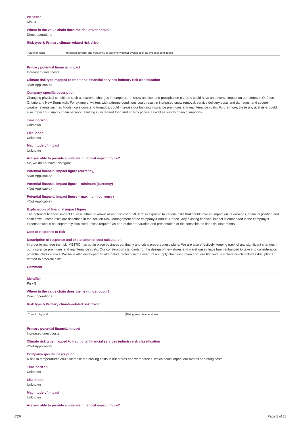#### **Where in the value chain does the risk driver occur?**

Direct operations

#### **Risk type & Primary climate-related risk driver**

Acute physical Increased severity and frequency of extreme weather events such as cyclones and floods

#### **Primary potential financial impact**

#### Increased direct costs

#### **Climate risk type mapped to traditional financial services industry risk classification**

<Not Applicable>

#### **Company-specific description**

Changing physical conditions such as extreme changes in temperature, snow and ice, and precipitation patterns could have an adverse impact on our stores in Québec, Ontario and New Brunswick. For example, winters with extreme conditions could result in increased snow removal, service delivery costs and damages, and severe weather events such as floods, ice storms and tornados, could increase our building insurance premiums and maintenance costs. Furthermore, these physical risks could also impact our supply chain network resulting in increased food and energy prices, as well as supply chain disruptions.

**Time horizon**

**Unknown** 

**Likelihood** Unknown

**Magnitude of impact**

Unknown

### **Are you able to provide a potential financial impact figure?**

No, we do not have this figure

#### **Potential financial impact figure (currency)** <Not Applicable>

**Potential financial impact figure – minimum (currency)** <Not Applicable>

## **Potential financial impact figure – maximum (currency)**

<Not Applicable>

#### **Explanation of financial impact figure**

The potential financial impact figure is either unknown or not disclosed. METRO is exposed to various risks that could have an impact on its earnings, financial position and cash flows. These risks are described in the section Risk Management of the company's Annual Report. Any existing financial impact is embedded in the company's expenses and is not separately disclosed unless required as part of the preparation and presentation of the consolidated financial statements.

#### **Cost of response to risk**

#### **Description of response and explanation of cost calculation**

In order to manage the risk, METRO has put in place business continuity and crisis preparedness plans. We are also effectively keeping track of any significant changes in our insurance premiums and maintenance costs. Our construction standards for the design of new stores and warehouses have been enhanced to take into consideration potential physical risks. We have also developed an alternative protocol in the event of a supply chain disruption from our first level suppliers which includes disruptions related to physical risks.

#### **Comment**

**Identifier**

#### Risk 5

### **Where in the value chain does the risk driver occur?**

Direct operations

### **Risk type & Primary climate-related risk driver**

Chronic physical Rising mean temperatures

### **Primary potential financial impact**

Increased direct costs

**Climate risk type mapped to traditional financial services industry risk classification** <Not Applicable>

#### **Company-specific description**

A rise in temperatures could increase the cooling costs in our stores and warehouses, which could impact our overall operating costs.

**Time horizon** Unknown

**Likelihood** Unknown

**Magnitude of impact**

Unknown

**Are you able to provide a potential financial impact figure?**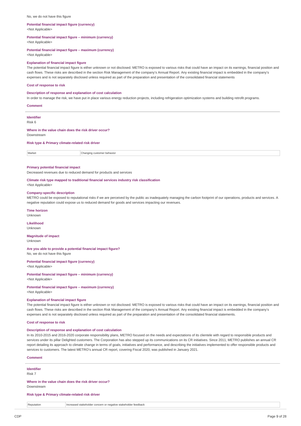#### No, we do not have this figure

#### **Potential financial impact figure (currency)**

<Not Applicable>

**Potential financial impact figure – minimum (currency)**

<Not Applicable>

#### **Potential financial impact figure – maximum (currency)**

<Not Applicable>

#### **Explanation of financial impact figure**

The potential financial impact figure is either unknown or not disclosed. METRO is exposed to various risks that could have an impact on its earnings, financial position and cash flows. These risks are described in the section Risk Management of the company's Annual Report. Any existing financial impact is embedded in the company's expenses and is not separately disclosed unless required as part of the preparation and presentation of the consolidated financial statements

#### **Cost of response to risk**

#### **Description of response and explanation of cost calculation**

In order to manage the risk, we have put in place various energy reduction projects, including refrigeration optimization systems and building retrofit programs.

## **Comment Identifier** Risk 6

#### **Where in the value chain does the risk driver occur?**

Downstream

**Risk type & Primary climate-related risk driver**

Market **Changing customer behavior** 

#### **Primary potential financial impact**

Decreased revenues due to reduced demand for products and services

#### **Climate risk type mapped to traditional financial services industry risk classification**

<Not Applicable>

#### **Company-specific description**

METRO could be exposed to reputational risks if we are perceived by the public as inadequately managing the carbon footprint of our operations, products and services. A negative reputation could expose us to reduced demand for goods and services impacting our revenues.

#### **Time horizon**

Unknown

### **Likelihood**

Unknown

### **Magnitude of impact**

Unknown

#### **Are you able to provide a potential financial impact figure?** No, we do not have this figure

**Potential financial impact figure (currency)** <Not Applicable>

#### **Potential financial impact figure – minimum (currency)** <Not Applicable>

**Potential financial impact figure – maximum (currency)**

<Not Applicable>

#### **Explanation of financial impact figure**

The potential financial impact figure is either unknown or not disclosed. METRO is exposed to various risks that could have an impact on its earnings, financial position and cash flows. These risks are described in the section Risk Management of the company's Annual Report. Any existing financial impact is embedded in the company's expenses and is not separately disclosed unless required as part of the preparation and presentation of the consolidated financial statements.

#### **Cost of response to risk**

#### **Description of response and explanation of cost calculation**

In its 2010-2015 and 2016-2020 corporate responsibility plans, METRO focused on the needs and expectations of its clientele with regard to responsible products and services under its pillar Delighted customers. The Corporation has also stepped up its communications on its CR initiatives. Since 2011, METRO publishes an annual CR report detailing its approach to climate change in terms of goals, initiatives and performance, and describing the initiatives implemented to offer responsible products and services to customers. The latest METRO's annual CR report, covering Fiscal 2020, was published in January 2021.

#### **Comment**

#### **Identifier**

Risk 7

#### **Where in the value chain does the risk driver occur?**

Downstream

**Risk type & Primary climate-related risk driver**

| stakeholde<br>™eedbau<br>stakenniner<br>' negative<br>oncerr?<br>$^{\circ}$ |
|-----------------------------------------------------------------------------|
|                                                                             |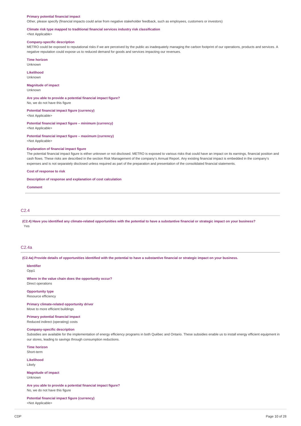#### **Primary potential financial impact**

Other, please specify (financial impacts could arise from negative stakeholder feedback, such as employees, customers or investors)

#### **Climate risk type mapped to traditional financial services industry risk classification** <Not Applicable>

### **Company-specific description**

METRO could be exposed to reputational risks if we are perceived by the public as inadequately managing the carbon footprint of our operations, products and services. A negative reputation could expose us to reduced demand for goods and services impacting our revenues.

**Time horizon** Unknown

**Likelihood**

Unknown

### **Magnitude of impact**

Unknown

**Are you able to provide a potential financial impact figure?**

No, we do not have this figure

**Potential financial impact figure (currency)** <Not Applicable>

**Potential financial impact figure – minimum (currency)**

<Not Applicable>

**Potential financial impact figure – maximum (currency)** <Not Applicable>

#### **Explanation of financial impact figure**

The potential financial impact figure is either unknown or not disclosed. METRO is exposed to various risks that could have an impact on its earnings, financial position and cash flows. These risks are described in the section Risk Management of the company's Annual Report. Any existing financial impact is embedded in the company's expenses and is not separately disclosed unless required as part of the preparation and presentation of the consolidated financial statements.

#### **Cost of response to risk**

#### **Description of response and explanation of cost calculation**

**Comment**

### C2.4

(C2.4) Have you identified any climate-related opportunities with the potential to have a substantive financial or strategic impact on your business? Yes

#### C2.4a

(C2.4a) Provide details of opportunities identified with the potential to have a substantive financial or strategic impact on your business.

**Identifier**

Opp1

**Where in the value chain does the opportunity occur?** Direct operations

**Opportunity type** Resource efficiency

**Primary climate-related opportunity driver** Move to more efficient buildings

**Primary potential financial impact** Reduced indirect (operating) costs

#### **Company-specific description**

Subsidies are available for the implementation of energy efficiency programs in both Québec and Ontario. These subsidies enable us to install energy efficient equipment in our stores, leading to savings through consumption reductions.

**Time horizon** Short-term

**Likelihood**

Likely

**Magnitude of impact** Unknown

**Are you able to provide a potential financial impact figure?** No, we do not have this figure

**Potential financial impact figure (currency)** <Not Applicable>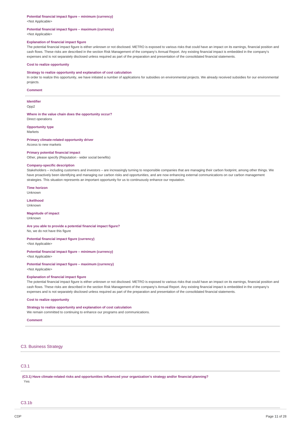#### **Potential financial impact figure – minimum (currency)**

<Not Applicable>

#### **Potential financial impact figure – maximum (currency)** <Not Applicable>

#### **Explanation of financial impact figure**

The potential financial impact figure is either unknown or not disclosed. METRO is exposed to various risks that could have an impact on its earnings, financial position and cash flows. These risks are described in the section Risk Management of the company's Annual Report. Any existing financial impact is embedded in the company's expenses and is not separately disclosed unless required as part of the preparation and presentation of the consolidated financial statements.

#### **Cost to realize opportunity**

#### **Strategy to realize opportunity and explanation of cost calculation**

In order to realize this opportunity, we have initiated a number of applications for subsidies on environmental projects. We already received subsidies for our environmental projects.

#### **Comment**

**Identifier**

Opp2

**Where in the value chain does the opportunity occur?** Direct operations

#### **Opportunity type**

Markets

#### **Primary climate-related opportunity driver**

Access to new markets

#### **Primary potential financial impact**

Other, please specify (Reputation - wider social benefits)

#### **Company-specific description**

Stakeholders – including customers and investors – are increasingly turning to responsible companies that are managing their carbon footprint, among other things. We have proactively been identifying and managing our carbon risks and opportunities, and are now enhancing external communications on our carbon management strategies. This situation represents an important opportunity for us to continuously enhance our reputation.

**Time horizon** Unknown

**Likelihood** Unknown

#### **Magnitude of impact** Unknown

#### **Are you able to provide a potential financial impact figure?** No, we do not have this figure

#### **Potential financial impact figure (currency)** <Not Applicable>

**Potential financial impact figure – minimum (currency)**

<Not Applicable>

#### **Potential financial impact figure – maximum (currency)** <Not Applicable>

#### **Explanation of financial impact figure**

The potential financial impact figure is either unknown or not disclosed. METRO is exposed to various risks that could have an impact on its earnings, financial position and cash flows. These risks are described in the section Risk Management of the company's Annual Report. Any existing financial impact is embedded in the company's expenses and is not separately disclosed unless required as part of the preparation and presentation of the consolidated financial statements.

#### **Cost to realize opportunity**

#### **Strategy to realize opportunity and explanation of cost calculation**

We remain committed to continuing to enhance our programs and communications.

#### **Comment**

C3. Business Strategy

### C3.1

**(C3.1) Have climate-related risks and opportunities influenced your organization's strategy and/or financial planning?** Yes

C3.1b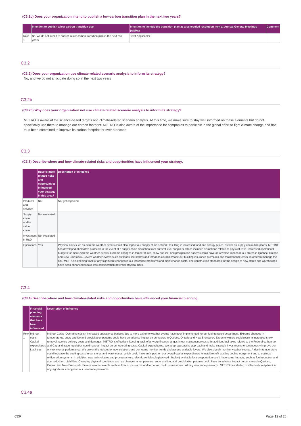**(C3.1b) Does your organization intend to publish a low-carbon transition plan in the next two years?**

|  | Intention to publish a low-carbon transition plan                                         | Intention to include the transition plan as a scheduled resolution item at Annual General Meetings<br>(AGMs) | Comment |
|--|-------------------------------------------------------------------------------------------|--------------------------------------------------------------------------------------------------------------|---------|
|  | Row No, we do not intend to publish a low-carbon transition plan in the next two<br>years | <not applicable=""></not>                                                                                    |         |

### C3.2

**(C3.2) Does your organization use climate-related scenario analysis to inform its strategy?** No, and we do not anticipate doing so in the next two years

### C3.2b

**(C3.2b) Why does your organization not use climate-related scenario analysis to inform its strategy?**

METRO is aware of the science-based targets and climate-related scenario analysis. At this time, we make sure to stay well informed on these elements but do not specifically use them to manage our carbon footprint. METRO is also aware of the importance for companies to participle in the global effort to fight climate change and has thus been committed to improve its carbon footprint for over a decade.

### C3.3

**(C3.3) Describe where and how climate-related risks and opportunities have influenced your strategy.**

|                                             | <b>Have climate-</b><br>related risks<br>land<br>opportunities<br>influenced<br><b>your strategy</b><br>in this area? | Description of influence                                                                                                                                                                                                                                                                                                                                                                                                                                                                                                                                                                                                                                                                                                                                                                                                                                                                                                                                                                                            |
|---------------------------------------------|-----------------------------------------------------------------------------------------------------------------------|---------------------------------------------------------------------------------------------------------------------------------------------------------------------------------------------------------------------------------------------------------------------------------------------------------------------------------------------------------------------------------------------------------------------------------------------------------------------------------------------------------------------------------------------------------------------------------------------------------------------------------------------------------------------------------------------------------------------------------------------------------------------------------------------------------------------------------------------------------------------------------------------------------------------------------------------------------------------------------------------------------------------|
| Products<br>and<br>services                 | <b>No</b>                                                                                                             | Not yet impacted                                                                                                                                                                                                                                                                                                                                                                                                                                                                                                                                                                                                                                                                                                                                                                                                                                                                                                                                                                                                    |
| Supply<br>chain<br>and/or<br>value<br>chain | Not evaluated                                                                                                         |                                                                                                                                                                                                                                                                                                                                                                                                                                                                                                                                                                                                                                                                                                                                                                                                                                                                                                                                                                                                                     |
| in R&D                                      | Investment Not evaluated                                                                                              |                                                                                                                                                                                                                                                                                                                                                                                                                                                                                                                                                                                                                                                                                                                                                                                                                                                                                                                                                                                                                     |
| Operations Yes                              |                                                                                                                       | Physical risks such as extreme weather events could also impact our supply chain network, resulting in increased food and energy prices, as well as supply chain disruptions. METRO<br>has developed alternative protocols in the event of a supply chain disruption from our first level suppliers, which includes disruptions related to physical risks. Increased operational<br>budgets for more extreme weather events. Extreme changes in temperatures, snow and ice, and precipitation patterns could have an adverse impact on our stores in Québec, Ontario<br>and New Brunswick. Severe weather events such as floods, ice storms and tornados could increase our building insurance premiums and maintenance costs. In order to manage the<br>risk, METRO is keeping track of any significant changes in our insurance premiums and maintenance costs. The construction standards for the design of new stores and warehouses<br>have been enhanced to take into consideration potential physical risks. |

### C3.4

#### **(C3.4) Describe where and how climate-related risks and opportunities have influenced your financial planning.**

| Financial<br> planning <br><b>elements</b><br><b>Ithat have</b><br>l been<br>l influenced | <b>Description of influence</b>                                                                                                                                                                                                                                                                                                                                                                                                                                                                                                                                                                                                                                                                                                                                                                                                                                                                                                                                                                                                                                                                                                                                                                                                                                                                                                                                                                                                                                                                                                                                                                                                                                                                                                                                                                                                    |
|-------------------------------------------------------------------------------------------|------------------------------------------------------------------------------------------------------------------------------------------------------------------------------------------------------------------------------------------------------------------------------------------------------------------------------------------------------------------------------------------------------------------------------------------------------------------------------------------------------------------------------------------------------------------------------------------------------------------------------------------------------------------------------------------------------------------------------------------------------------------------------------------------------------------------------------------------------------------------------------------------------------------------------------------------------------------------------------------------------------------------------------------------------------------------------------------------------------------------------------------------------------------------------------------------------------------------------------------------------------------------------------------------------------------------------------------------------------------------------------------------------------------------------------------------------------------------------------------------------------------------------------------------------------------------------------------------------------------------------------------------------------------------------------------------------------------------------------------------------------------------------------------------------------------------------------|
| Row Indirect<br>costs<br>Capital<br>Liabilities                                           | Indirect Costs (Operating costs): Increased operational budgets due to more extreme weather events have been implemented for our Maintenance department. Extreme changes in<br>temperatures, snow and ice and precipitation patterns could have an adverse impact on our stores in Québec, Ontario and New Brunswick. Extreme winters could result in increased snow<br>removal, service delivery costs and damages. METRO is effectively keeping track of any significant changes in our maintenance costs. In addition, fuel taxes related to the Federal carbon tax<br>expenditures and Cap and trade regulation could have an impact on our operating costs. Capital expenditures: We adopt a proactive approach and make strategic investments to continuously improve our<br>environmental performance. We are on the lookout for new solutions and our teams monitor trends and assess available levers. We also closely monitor weather events. A rise in temperature<br>could increase the cooling costs in our stores and warehouses, which could have an impact on our overall capital expenditures to install/retrofit existing cooling equipment and to optimize<br>refrigeration systems. In addition, new technologies and processes (e.g. electric vehicles, logistic optimization) available for transportation could have some impacts, such as fuel reduction and<br>cost reduction. Liabilities: Changing physical conditions such as changes in temperature, snow and ice, and precipitation patterns could have an adverse impact on our stores in Québec,<br>Ontario and New Brunswick. Severe weather events such as floods, ice storms and tornados, could increase our building insurance premiums. METRO has started to effectively keep track of<br>any significant changes in our insurance premiums. |

C3.4a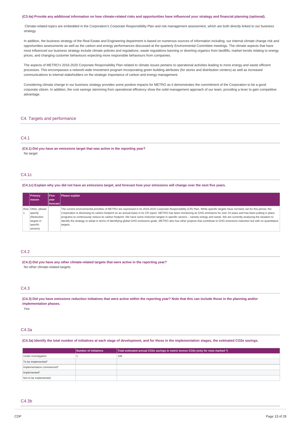#### (C3.4a) Provide any additional information on how climate-related risks and opportunities have influenced your strategy and financial planning (optional).

Climate-related topics are embedded in the Corporation's Corporate Responsibility Plan and risk management assessment, which are both directly linked to our business strategy.

In addition, the business strategy of the Real Estate and Engineering department is based on numerous sources of information including, our internal climate change risk and opportunities assessments as well as the carbon and energy performances discussed at the quarterly Environmental Committee meetings. The climate aspects that have most influenced our business strategy include climate policies and regulations, waste regulations banning or diverting organics from landfills, market trends relating to energy prices, and changing customer behaviours expecting more responsible behaviours from companies.

The aspects of METRO's 2016-2020 Corporate Responsibility Plan related to climate issues pertains to operational activities leading to more energy and waste efficient processes. This encompasses a network-wide investment program incorporating green building attributes (for stores and distribution centers) as well as increased communications to internal stakeholders on the strategic importance of carbon and energy management.

Considering climate change in our business strategy provides some positive impacts for METRO as it demonstrates the commitment of the Corporation to be a good corporate citizen. In addition, the cost savings stemming from operational efficiency show the solid management approach of our team, providing a lever to gain competitive advantage.

#### C4. Targets and performance

### C4.1

**(C4.1) Did you have an emissions target that was active in the reporting year?** No target

### C4.1c

#### (C4.1c) Explain why you did not have an emissions target, and forecast how your emissions will change over the next five years.

| Primary           | <b>Five-</b> | Please explain                                                                                                                                                                       |
|-------------------|--------------|--------------------------------------------------------------------------------------------------------------------------------------------------------------------------------------|
| <b>Ireason</b>    | vear         |                                                                                                                                                                                      |
|                   | forecast     |                                                                                                                                                                                      |
| Row Other, please |              | The current environmental priorities of METRO are expressed in its 2016-2020 Corporate Responsibility (CR) Plan. While specific targets have not been set for this period, the       |
| specify           |              | Corporation is disclosing its carbon footprint on an annual basis in its CR report. METRO has been monitoring its GHG emissions for over 10 years and has been putting in place      |
| (Reduction        |              | programs to continuously reduce its carbon footprint. We have some reduction targets in specific sectors – namely energy and waste. We are currently analyzing the situation to      |
| targets in        |              | identify the strategy to adopt in terms of identifying global GHG emissions goals. METRO also has other projects that contribute to GHG emissions reduction but with no quantitative |
| specific          |              | targets.                                                                                                                                                                             |
| sectors)          |              |                                                                                                                                                                                      |

### C4.2

**(C4.2) Did you have any other climate-related targets that were active in the reporting year?** No other climate-related targets

### C4.3

(C4.3) Did you have emissions reduction initiatives that were active within the reporting year? Note that this can include those in the planning and/or **implementation phases.**

Yes

### C4.3a

#### (C4.3a) Identify the total number of initiatives at each stage of development, and for those in the implementation stages, the estimated CO2e savings.

|                           | Number of initiatives | Total estimated annual CO2e savings in metric tonnes CO2e (only for rows marked *) |
|---------------------------|-----------------------|------------------------------------------------------------------------------------|
| Under investigation       |                       | 108                                                                                |
| To be implemented*        |                       |                                                                                    |
| Implementation commenced* |                       |                                                                                    |
| Implemented*              |                       |                                                                                    |
| Not to be implemented     |                       |                                                                                    |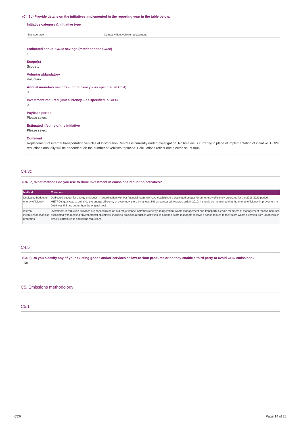#### **(C4.3b) Provide details on the initiatives implemented in the reporting year in the table below.**

**Initiative category & Initiative type**

Transportation Company fleet vehicle replacement

#### **Estimated annual CO2e savings (metric tonnes CO2e)**

108

**Scope(s)**

Scope 1

### **Voluntary/Mandatory**

Voluntary

#### **Annual monetary savings (unit currency – as specified in C0.4)**

0

#### **Investment required (unit currency – as specified in C0.4)**

0

### **Payback period**

Please select

### **Estimated lifetime of the initiative**

Please select

#### **Comment**

Replacement of internal transportation vehicles at Distribution Centres is currently under investigation. No timeline is currently in place of implementation of initiative. CO2e reductions annually will be dependent on the number of vehicles replaced. Calculations reflect one electric shunt truck.

#### C4.3c

### **(C4.3c) What methods do you use to drive investment in emissions reduction activities?**

| Method            | <b>Comment</b>                                                                                                                                                                                                                                                                                                                                                                                                                                            |
|-------------------|-----------------------------------------------------------------------------------------------------------------------------------------------------------------------------------------------------------------------------------------------------------------------------------------------------------------------------------------------------------------------------------------------------------------------------------------------------------|
| energy efficiency | Dedicated budget for Dedicated budget for energy efficiency: In coordination with our financial team, we have established a dedicated budget for our energy efficiency programs for the 2016-2020 period.<br>METRO's goal was to enhance the energy efficiency of every new store by at least 5% as compared to stores built in 2010. It should be mentioned that the energy efficiency improvement in<br>2019 was 5 times better than the original goal. |
| Internal          | Investment in reduction activities are concentrated on our major impact activities (energy, refrigeration, waste management and transport). Certain members of management receive bonuses                                                                                                                                                                                                                                                                 |
|                   | incentives/recognition associated with meeting environmental objectives, including emission reduction activities. In Quebec, store managers receive a bonus related to their store waste diversion from landfill which                                                                                                                                                                                                                                    |
| programs          | directly correlates to emissions reductions.                                                                                                                                                                                                                                                                                                                                                                                                              |

### C4.5

(C4.5) Do you classify any of your existing goods and/or services as low-carbon products or do they enable a third party to avoid GHG emissions? No

#### C5. Emissions methodology

### C5.1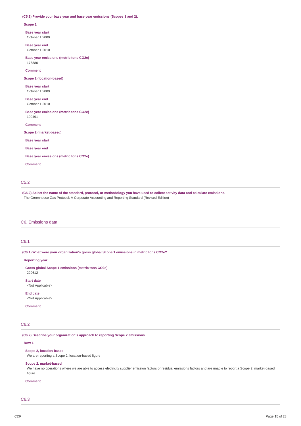#### **(C5.1) Provide your base year and base year emissions (Scopes 1 and 2).**

#### **Scope 1**

**Base year start**

October 1 2009

**Base year end** October 1 2010

**Base year emissions (metric tons CO2e)** 176880

**Comment**

#### **Scope 2 (location-based)**

**Base year start** October 1 2009

**Base year end** October 1 2010

**Base year emissions (metric tons CO2e)** 109491

**Comment**

#### **Scope 2 (market-based)**

**Base year start**

**Base year end**

**Base year emissions (metric tons CO2e)**

**Comment**

### C5.2

(C5.2) Select the name of the standard, protocol, or methodology you have used to collect activity data and calculate emissions. The Greenhouse Gas Protocol: A Corporate Accounting and Reporting Standard (Revised Edition)

#### C6. Emissions data

### C6.1

**(C6.1) What were your organization's gross global Scope 1 emissions in metric tons CO2e?**

**Reporting year**

**Gross global Scope 1 emissions (metric tons CO2e)** 229612

**Start date** <Not Applicable>

**End date** <Not Applicable>

**Comment**

### C6.2

**(C6.2) Describe your organization's approach to reporting Scope 2 emissions.**

#### **Row 1**

**Scope 2, location-based**

We are reporting a Scope 2, location-based figure

#### **Scope 2, market-based**

We have no operations where we are able to access electricity supplier emission factors or residual emissions factors and are unable to report a Scope 2, market-based figure

#### **Comment**

C6.3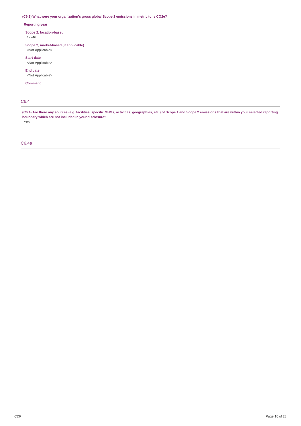**(C6.3) What were your organization's gross global Scope 2 emissions in metric tons CO2e?**

### **Reporting year**

**Scope 2, location-based** 17246

**Scope 2, market-based (if applicable)** <Not Applicable>

**Start date** <Not Applicable>

**End date** <Not Applicable>

**Comment**

### C6.4

(C6.4) Are there any sources (e.g. facilities, specific GHGs, activities, geographies, etc.) of Scope 1 and Scope 2 emissions that are within your selected reporting **boundary which are not included in your disclosure?**

Yes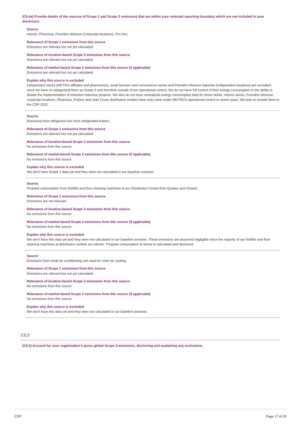(C6.4a) Provide details of the sources of Scope 1 and Scope 2 emissions that are within your selected reporting boundary which are not included in your **disclosure.**

#### **Source**

Adonis, Phoenicia, Première Moisson (corporate locations), Pro Doc

**Relevance of Scope 1 emissions from this source** Emissions are relevant but not yet calculated

**Relevance of location-based Scope 2 emissions from this source**

Emissions are relevant but not yet calculated

**Relevance of market-based Scope 2 emissions from this source (if applicable)**

Emissions are relevant but not yet calculated

#### **Explain why this source is excluded**

Independent stores (METRO affiliates and pharmacies), small banners and convenience stores and Première Moisson bakeries (independent locations) are excluded, since we have re-categorized them as Scope 3 and therefore outside of our operational control. We do not have full control of their energy consumption or the ability to dictate the implementation of emission reduction projects. We also do not have centralized energy consumption data for those stores. Adonis stores, Première Moisson corporate locations, Phoenicia, ProDoc and Jean Coutu distribution centers have only come under METRO's operational control in recent years. We plan to include them in the CDP 2022.

#### **Source**

Emissions from refrigerant loss from refrigerated trailers.

#### **Relevance of Scope 1 emissions from this source**

Emissions are relevant but not yet calculated

#### **Relevance of location-based Scope 2 emissions from this source**

No emissions from this source

#### **Relevance of market-based Scope 2 emissions from this source (if applicable)** No emissions from this source

### **Explain why this source is excluded**

We don't have Scope 1 data yet and they were not calculated in our baseline scenario.

#### **Source**

Propane consumption from forklifts and floor cleaning machines in our Distribution Centre from Quebec and Ontario.

**Relevance of Scope 1 emissions from this source** Emissions are not relevant

#### **Relevance of location-based Scope 2 emissions from this source**

No emissions from this source

#### **Relevance of market-based Scope 2 emissions from this source (if applicable)**

No emissions from this source

#### **Explain why this source is excluded**

We don't have this data yet and they were not calculated in our baseline scenario. These emissions are assumed negligible since the majority of our forklifts and floor cleaning machines at distribution centres are electric. Propane consumption at stores is calculated and disclosed.

#### **Source**

Emissions from small air conditioning unit used for room air cooling.

### **Relevance of Scope 1 emissions from this source**

Emissions are relevant but not yet calculated

#### **Relevance of location-based Scope 2 emissions from this source**

No emissions from this source

**Relevance of market-based Scope 2 emissions from this source (if applicable)** No emissions from this source

#### **Explain why this source is excluded**

We don't have this data yet and they were not calculated in our baseline scenario.

### C6.5

**(C6.5) Account for your organization's gross global Scope 3 emissions, disclosing and explaining any exclusions.**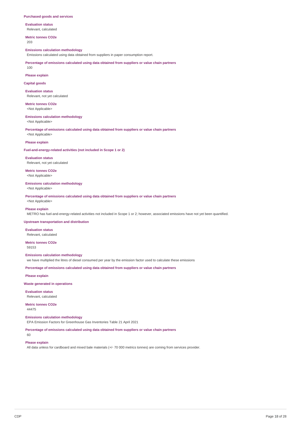#### **Purchased goods and services**

**Evaluation status**

Relevant, calculated

**Metric tonnes CO2e** 203

#### **Emissions calculation methodology**

Emissions calculated using data obtained from suppliers in paper consumption report.

**Percentage of emissions calculated using data obtained from suppliers or value chain partners**  $100$ 

#### **Please explain**

**Capital goods**

**Evaluation status** Relevant, not yet calculated

**Metric tonnes CO2e** <Not Applicable>

#### **Emissions calculation methodology**

<Not Applicable>

**Percentage of emissions calculated using data obtained from suppliers or value chain partners** <Not Applicable>

#### **Please explain**

#### **Fuel-and-energy-related activities (not included in Scope 1 or 2)**

**Evaluation status** Relevant, not yet calculated

**Metric tonnes CO2e** <Not Applicable>

#### **Emissions calculation methodology**

<Not Applicable>

**Percentage of emissions calculated using data obtained from suppliers or value chain partners**

## <Not Applicable>

**Please explain**

METRO has fuel-and-energy-related activities not included in Scope 1 or 2; however, associated emissions have not yet been quantified.

#### **Upstream transportation and distribution**

**Evaluation status**

Relevant, calculated

**Metric tonnes CO2e** 59153

#### **Emissions calculation methodology**

we have multiplied the litres of diesel consumed per year by the emission factor used to calculate these emissions

**Percentage of emissions calculated using data obtained from suppliers or value chain partners**

#### **Please explain**

**Waste generated in operations**

**Evaluation status** Relevant, calculated

**Metric tonnes CO2e** 44475

#### **Emissions calculation methodology**

EPA Emission Factors for Greenhouse Gas Inventories Table 21 April 2021

**Percentage of emissions calculated using data obtained from suppliers or value chain partners**

#### 60

**Please explain**

All data unless for cardboard and mixed bale materials (+/- 70 000 metrics tonnes) are coming from services provider.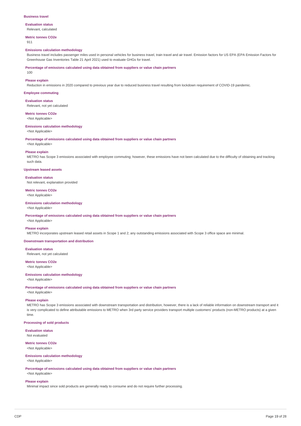#### **Business travel**

#### **Evaluation status**

Relevant, calculated

### **Metric tonnes CO2e**

911

#### **Emissions calculation methodology**

Business travel includes passenger miles used in personal vehicles for business travel, train travel and air travel. Emission factors for US EPA (EPA Emission Factors for Greenhouse Gas Inventories Table 21 April 2021) used to evaluate GHGs for travel.

#### **Percentage of emissions calculated using data obtained from suppliers or value chain partners**

100

#### **Please explain**

Reduction in emissions in 2020 compared to previous year due to reduced business travel resulting from lockdown requirement of COVID-19 pandemic.

#### **Employee commuting**

**Evaluation status**

Relevant, not yet calculated

### **Metric tonnes CO2e**

<Not Applicable>

### **Emissions calculation methodology**

<Not Applicable>

**Percentage of emissions calculated using data obtained from suppliers or value chain partners**

<Not Applicable>

#### **Please explain**

METRO has Scope 3 emissions associated with employee commuting; however, these emissions have not been calculated due to the difficulty of obtaining and tracking such data.

#### **Upstream leased assets**

#### **Evaluation status**

Not relevant, explanation provided

#### **Metric tonnes CO2e** <Not Applicable>

#### **Emissions calculation methodology**

<Not Applicable>

**Percentage of emissions calculated using data obtained from suppliers or value chain partners**

### <Not Applicable> **Please explain**

METRO incorporates upstream leased retail assets in Scope 1 and 2; any outstanding emissions associated with Scope 3 office space are minimal.

#### **Downstream transportation and distribution**

**Evaluation status**

Relevant, not yet calculated

#### **Metric tonnes CO2e** <Not Applicable>

### **Emissions calculation methodology**

<Not Applicable>

**Percentage of emissions calculated using data obtained from suppliers or value chain partners**

## <Not Applicable>

### **Please explain**

METRO has Scope 3 emissions associated with downstream transportation and distribution, however, there is a lack of reliable information on downstream transport and it is very complicated to define attributable emissions to METRO when 3rd party service providers transport multiple customers' products (non-METRO products) at a given time.

#### **Processing of sold products**

**Evaluation status** Not evaluated

#### **Metric tonnes CO2e**

<Not Applicable>

#### **Emissions calculation methodology** <Not Applicable>

**Percentage of emissions calculated using data obtained from suppliers or value chain partners** <Not Applicable>

#### **Please explain**

Minimal impact since sold products are generally ready to consume and do not require further processing.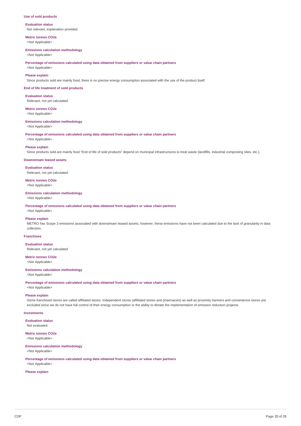#### **Use of sold products**

**Evaluation status** Not relevant, explanation provided

**Metric tonnes CO2e** <Not Applicable>

#### **Emissions calculation methodology**

<Not Applicable>

**Percentage of emissions calculated using data obtained from suppliers or value chain partners**

<Not Applicable>

#### **Please explain**

Since products sold are mainly food, there is no precise energy consumption associated with the use of the product itself.

#### **End of life treatment of sold products**

**Evaluation status** Relevant, not yet calculated

**Metric tonnes CO2e**

<Not Applicable>

#### **Emissions calculation methodology**

<Not Applicable>

**Percentage of emissions calculated using data obtained from suppliers or value chain partners**

<Not Applicable>

#### **Please explain**

Since products sold are mainly food "End of life of sold products" depend on municipal infrastructures to treat waste (landfills, industrial composting sites, etc.).

#### **Downstream leased assets**

**Evaluation status** Relevant, not yet calculated

**Metric tonnes CO2e**

<Not Applicable>

#### **Emissions calculation methodology**

<Not Applicable>

**Percentage of emissions calculated using data obtained from suppliers or value chain partners**

### <Not Applicable> **Please explain**

METRO has Scope 3 emissions associated with downstream leased assets; however, these emissions have not been calculated due to the lack of granularity in data collection.

### **Franchises**

**Evaluation status** Relevant, not yet calculated

### **Metric tonnes CO2e**

<Not Applicable>

### **Emissions calculation methodology**

<Not Applicable>

**Percentage of emissions calculated using data obtained from suppliers or value chain partners**

<Not Applicable>

### **Please explain**

Some franchised stores are called affiliated stores. Independent stores (affiliated stores and pharmacies) as well as proximity banners and convenience stores are excluded since we do not have full control of their energy consumption or the ability to dictate the implementation of emission reduction projects.

#### **Investments**

**Evaluation status** Not evaluated

**Metric tonnes CO2e** <Not Applicable>

#### **Emissions calculation methodology**

<Not Applicable>

**Percentage of emissions calculated using data obtained from suppliers or value chain partners** <Not Applicable>

#### **Please explain**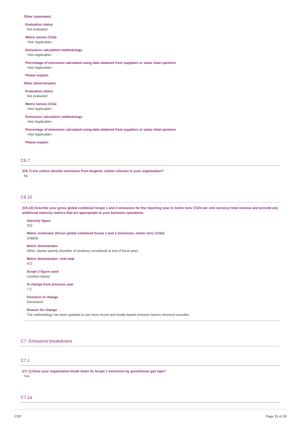#### **Other (upstream)**

**Evaluation status** Not evaluated

**Metric tonnes CO2e** <Not Applicable>

#### **Emissions calculation methodology**

<Not Applicable>

**Percentage of emissions calculated using data obtained from suppliers or value chain partners** <Not Applicable>

**Please explain**

#### **Other (downstream)**

**Evaluation status** Not evaluated

**Metric tonnes CO2e** <Not Applicable>

#### **Emissions calculation methodology**

<Not Applicable>

**Percentage of emissions calculated using data obtained from suppliers or value chain partners** <Not Applicable>

#### **Please explain**

#### C6.7

**(C6.7) Are carbon dioxide emissions from biogenic carbon relevant to your organization?** No

### C6.10

(C6.10) Describe your gross global combined Scope 1 and 2 emissions for the reporting year in metric tons CO2e per unit currency total revenue and provide any **additional intensity metrics that are appropriate to your business operations.**

### **Intensity figure**

523

**Metric numerator (Gross global combined Scope 1 and 2 emissions, metric tons CO2e)** 246859

#### **Metric denominator**

Other, please specify (Number of locations considered at end of fiscal year)

**Metric denominator: Unit total** 472

**Scope 2 figure used** Location-based

### **% change from previous year**

7.2

**Direction of change** Decreased

### **Reason for change**

The methodology has been updated to use more recent and locally-based emission factors wherever possible.

### C7. Emissions breakdowns

### C7.1

**(C7.1) Does your organization break down its Scope 1 emissions by greenhouse gas type?** Yes

### C7.1a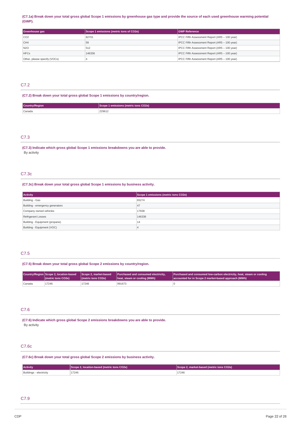#### (C7.1a) Break down your total gross global Scope 1 emissions by greenhouse gas type and provide the source of each used greenhouse warming potential **(GWP).**

| Greenhouse gas               | Scope 1 emissions (metric tons of CO2e) | <b>GWP Reference</b>                          |
|------------------------------|-----------------------------------------|-----------------------------------------------|
| CO <sub>2</sub>              | 82701                                   | IPCC Fifth Assessment Report (AR5 - 100 year) |
| CH4                          | 59                                      | IPCC Fifth Assessment Report (AR5 - 100 year) |
| N2O                          | 512                                     | IPCC Fifth Assessment Report (AR5 - 100 year) |
| <b>HFCs</b>                  | 146336                                  | IPCC Fifth Assessment Report (AR5 - 100 year) |
| Other, please specify (VOCs) |                                         | IPCC Fifth Assessment Report (AR5 - 100 year) |

### C7.2

### **(C7.2) Break down your total gross global Scope 1 emissions by country/region.**

| <b>Country/Region</b> | 1 emissions (metric tons CO2e) |  |  |
|-----------------------|--------------------------------|--|--|
| Canada                | 229612                         |  |  |

### C7.3

#### **(C7.3) Indicate which gross global Scope 1 emissions breakdowns you are able to provide.** By activity

### C7.3c

#### **(C7.3c) Break down your total gross global Scope 1 emissions by business activity.**

| <b>Activity</b>                 | Scope 1 emissions (metric tons CO2e) |
|---------------------------------|--------------------------------------|
| Building - Gas                  | 65274                                |
| Building - emergency generators | 47                                   |
| Company owned vehicles          | 17938                                |
| <b>Refrigerant Losses</b>       | 146336                               |
| Building - Equipment (propane)  | 14                                   |
| Building - Equipment (VOC)      |                                      |

### C7.5

#### **(C7.5) Break down your total gross global Scope 2 emissions by country/region.**

|        | Country/Region Scope 2, location-based Scope 2, market-based<br>( <i>I</i> metric tons CO <sub>2</sub> e) | ( <i>I</i> metric tons CO <sub>2</sub> e) | <b>Purchased and consumed electricity.</b><br>heat, steam or cooling (MWh) | Purchased and consumed low-carbon electricity, heat, steam or cooling<br>accounted for in Scope 2 market-based approach (MWh) |
|--------|-----------------------------------------------------------------------------------------------------------|-------------------------------------------|----------------------------------------------------------------------------|-------------------------------------------------------------------------------------------------------------------------------|
| Canada | 17246                                                                                                     | 17246                                     | 991673                                                                     |                                                                                                                               |

### C7.6

**(C7.6) Indicate which gross global Scope 2 emissions breakdowns you are able to provide.** By activity

### C7.6c

**(C7.6c) Break down your total gross global Scope 2 emissions by business activity.**

| <b>Activity</b>         | Scope 2, location-based (metric tons CO2e) | Scope 2, market-based (metric tons CO2e) |
|-------------------------|--------------------------------------------|------------------------------------------|
| Buildings - electricity | 17246                                      | 17246                                    |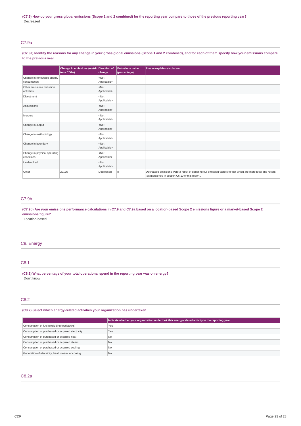(C7.9) How do your gross global emissions (Scope 1 and 2 combined) for the reporting year compare to those of the previous reporting year? Decreased

### C7.9a

#### (C7.9a) Identify the reasons for any change in your gross global emissions (Scope 1 and 2 combined), and for each of them specify how your emissions compare **to the previous year.**

|                                            | Change in emissions (metric Direction of<br>tons CO2e) | change                 | <b>Emissions value</b><br>(percentage) | Please explain calculation                                                                                                                                    |
|--------------------------------------------|--------------------------------------------------------|------------------------|----------------------------------------|---------------------------------------------------------------------------------------------------------------------------------------------------------------|
| Change in renewable energy<br>consumption  |                                                        | $<$ Not<br>Applicable> |                                        |                                                                                                                                                               |
| Other emissions reduction<br>activities    |                                                        | $<$ Not<br>Applicable> |                                        |                                                                                                                                                               |
| Divestment                                 |                                                        | $<$ Not<br>Applicable> |                                        |                                                                                                                                                               |
| Acquisitions                               |                                                        | $<$ Not<br>Applicable> |                                        |                                                                                                                                                               |
| Mergers                                    |                                                        | $<$ Not<br>Applicable> |                                        |                                                                                                                                                               |
| Change in output                           |                                                        | $<$ Not<br>Applicable> |                                        |                                                                                                                                                               |
| Change in methodology                      |                                                        | $<$ Not<br>Applicable> |                                        |                                                                                                                                                               |
| Change in boundary                         |                                                        | $<$ Not<br>Applicable> |                                        |                                                                                                                                                               |
| Change in physical operating<br>conditions |                                                        | $<$ Not<br>Applicable> |                                        |                                                                                                                                                               |
| Unidentified                               |                                                        | $<$ Not<br>Applicable> |                                        |                                                                                                                                                               |
| Other                                      | 22175                                                  | Decreased              | 8                                      | Decreased emissions were a result of updating our emission factors to that which are more local and recent<br>(as mentioned in section C6.10 of this report). |

### C7.9b

(C7.9b) Are your emissions performance calculations in C7.9 and C7.9a based on a location-based Scope 2 emissions figure or a market-based Scope 2 **emissions figure?**

Location-based

#### C8. Energy

### C8.1

**(C8.1) What percentage of your total operational spend in the reporting year was on energy?** Don't know

#### C8.2

**(C8.2) Select which energy-related activities your organization has undertaken.**

|                                                    | Indicate whether your organization undertook this energy-related activity in the reporting year |
|----------------------------------------------------|-------------------------------------------------------------------------------------------------|
| Consumption of fuel (excluding feedstocks)         | Yes                                                                                             |
| Consumption of purchased or acquired electricity   | Yes                                                                                             |
| Consumption of purchased or acquired heat          | l No                                                                                            |
| Consumption of purchased or acquired steam         | N <sub>o</sub>                                                                                  |
| Consumption of purchased or acquired cooling       | N <sub>o</sub>                                                                                  |
| Generation of electricity, heat, steam, or cooling | No                                                                                              |

### C8.2a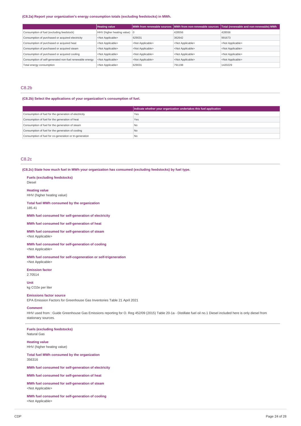### **(C8.2a) Report your organization's energy consumption totals (excluding feedstocks) in MWh.**

|                                                         | <b>Heating value</b>                   | MWh from renewable sources | MWh from non-renewable sources | Total (renewable and non-renewable) MWh |
|---------------------------------------------------------|----------------------------------------|----------------------------|--------------------------------|-----------------------------------------|
| Consumption of fuel (excluding feedstock)               | HHV (higher heating value) $ 0\rangle$ |                            | 428556                         | 428556                                  |
| Consumption of purchased or acquired electricity        | <not applicable=""></not>              | 629031                     | 362642                         | 991673                                  |
| Consumption of purchased or acquired heat               | <not applicable=""></not>              | <not applicable=""></not>  | <not applicable=""></not>      | <not applicable=""></not>               |
| Consumption of purchased or acquired steam              | <not applicable=""></not>              | <not applicable=""></not>  | <not applicable=""></not>      | <not applicable=""></not>               |
| Consumption of purchased or acquired cooling            | <not applicable=""></not>              | <not applicable=""></not>  | <not applicable=""></not>      | <not applicable=""></not>               |
| Consumption of self-generated non-fuel renewable energy | <not applicable=""></not>              | <not applicable=""></not>  | <not applicable=""></not>      | <not applicable=""></not>               |
| Total energy consumption                                | <not applicable=""></not>              | 629031                     | 791198                         | 1420229                                 |

### C8.2b

#### **(C8.2b) Select the applications of your organization's consumption of fuel.**

|                                                         | Indicate whether your organization undertakes this fuel application |
|---------------------------------------------------------|---------------------------------------------------------------------|
| Consumption of fuel for the generation of electricity   | Yes                                                                 |
| Consumption of fuel for the generation of heat          | Yes                                                                 |
| Consumption of fuel for the generation of steam         | l No                                                                |
| Consumption of fuel for the generation of cooling       | No                                                                  |
| Consumption of fuel for co-generation or tri-generation | ' No                                                                |

#### C8.2c

**(C8.2c) State how much fuel in MWh your organization has consumed (excluding feedstocks) by fuel type.**

| <b>Example 1970 and the conditional condition</b> |  |  |
|---------------------------------------------------|--|--|
| Diesel                                            |  |  |
| <b>Heating value</b>                              |  |  |
| HHV (higher heating value)                        |  |  |
|                                                   |  |  |
| Total fuel MWh consumed by the organization       |  |  |
| 185.41                                            |  |  |

**Fuels (excluding feedstocks)**

**MWh fuel consumed for self-generation of electricity**

**MWh fuel consumed for self-generation of heat**

**MWh fuel consumed for self-generation of steam** <Not Applicable>

**MWh fuel consumed for self-generation of cooling** <Not Applicable>

**MWh fuel consumed for self-cogeneration or self-trigeneration** <Not Applicable>

**Emission factor** 2.70514

**Unit** kg CO2e per liter

#### **Emissions factor source**

EPA Emission Factors for Greenhouse Gas Inventories Table 21 April 2021

#### **Comment**

HHV used from : Guide Greenhouse Gas Emissions reporting for O. Reg 452/09 (2015) Table 20-1a - Distillate fuel oil no.1 Diesel included here is only diesel from stationary sources.

**Fuels (excluding feedstocks)** Natural Gas

**Heating value**

HHV (higher heating value)

**Total fuel MWh consumed by the organization** 356316

**MWh fuel consumed for self-generation of electricity**

**MWh fuel consumed for self-generation of heat**

**MWh fuel consumed for self-generation of steam** <Not Applicable>

**MWh fuel consumed for self-generation of cooling** <Not Applicable>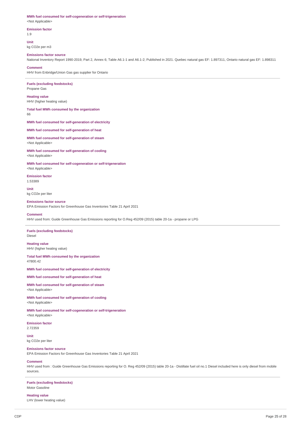#### **MWh fuel consumed for self-cogeneration or self-trigeneration**

<Not Applicable>

#### **Emission factor**

1.9 **Unit**

kg CO2e per m3

#### **Emissions factor source**

National Inventory Report 1990-2019, Part 2, Annex 6; Table A6.1-1 and A6.1-2; Published in 2021. Quebec natural gas EF: 1.897311, Ontario natural gas EF: 1.898311

#### **Comment**

HHV from Enbridge/Union Gas gas supplier for Ontario

**Fuels (excluding feedstocks)** Propane Gas

#### **Heating value**

HHV (higher heating value)

**Total fuel MWh consumed by the organization**

66

**MWh fuel consumed for self-generation of electricity**

**MWh fuel consumed for self-generation of heat**

**MWh fuel consumed for self-generation of steam** <Not Applicable>

**MWh fuel consumed for self-generation of cooling** <Not Applicable>

**MWh fuel consumed for self-cogeneration or self-trigeneration** <Not Applicable>

**Emission factor** 1.53389

**Unit** kg CO2e per liter

#### **Emissions factor source**

EPA Emission Factors for Greenhouse Gas Inventories Table 21 April 2021

#### **Comment**

HHV used from: Guide Greenhouse Gas Emissions reporting for O.Reg 452/09 (2015) table 20-1a - propane or LPG

#### **Fuels (excluding feedstocks)** Diesel

**Heating value** HHV (higher heating value)

**Total fuel MWh consumed by the organization** 47800.42

**MWh fuel consumed for self-generation of electricity**

#### **MWh fuel consumed for self-generation of heat**

**MWh fuel consumed for self-generation of steam** <Not Applicable>

**MWh fuel consumed for self-generation of cooling** <Not Applicable>

**MWh fuel consumed for self-cogeneration or self-trigeneration** <Not Applicable>

**Emission factor** 2.72359

**Unit** kg CO2e per liter

#### **Emissions factor source**

EPA Emission Factors for Greenhouse Gas Inventories Table 21 April 2021

#### **Comment**

HHV used from : Guide Greenhouse Gas Emissions reporting for O. Reg 452/09 (2015) table 20-1a - Distillate fuel oil no.1 Diesel included here is only diesel from mobile sources.

### **Fuels (excluding feedstocks)**

Motor Gasoline

#### **Heating value**

LHV (lower heating value)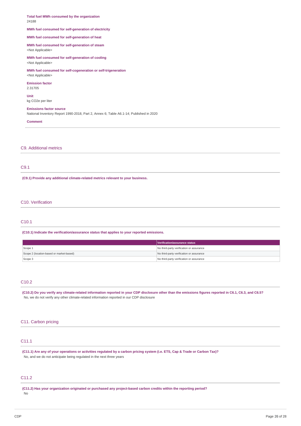| Total fuel MWh consumed by the organization<br>24188                                                                     |
|--------------------------------------------------------------------------------------------------------------------------|
| MWh fuel consumed for self-generation of electricity                                                                     |
| MWh fuel consumed for self-generation of heat                                                                            |
| MWh fuel consumed for self-generation of steam<br><not applicable=""></not>                                              |
| MWh fuel consumed for self-generation of cooling<br><not applicable=""></not>                                            |
| MWh fuel consumed for self-cogeneration or self-trigeneration<br><not applicable=""></not>                               |
| <b>Emission factor</b><br>2.31705                                                                                        |
| Unit<br>kg CO2e per liter                                                                                                |
| <b>Emissions factor source</b><br>National Inventory Report 1990-2018, Part 2, Annex 6; Table A6.1-14; Published in 2020 |
| <b>Comment</b>                                                                                                           |
|                                                                                                                          |

### C9. Additional metrics

### C9.1

**(C9.1) Provide any additional climate-related metrics relevant to your business.**

### C10. Verification

### C10.1

**(C10.1) Indicate the verification/assurance status that applies to your reported emissions.**

|                                          | l Verification/assurance status 1        |  |
|------------------------------------------|------------------------------------------|--|
| Scope 1                                  | No third-party verification or assurance |  |
| Scope 2 (location-based or market-based) | No third-party verification or assurance |  |
| Scope 3                                  | No third-party verification or assurance |  |

### C10.2

(C10.2) Do you verify any climate-related information reported in your CDP disclosure other than the emissions figures reported in C6.1, C6.3, and C6.5? No, we do not verify any other climate-related information reported in our CDP disclosure

#### C11. Carbon pricing

### C11.1

(C11.1) Are any of your operations or activities regulated by a carbon pricing system (i.e. ETS, Cap & Trade or Carbon Tax)? No, and we do not anticipate being regulated in the next three years

### C11.2

**(C11.2) Has your organization originated or purchased any project-based carbon credits within the reporting period?** No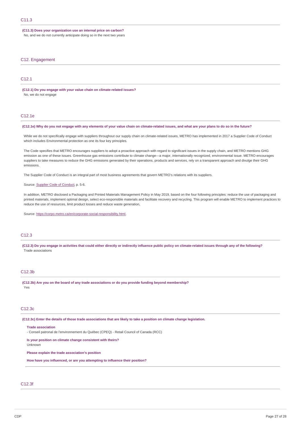#### **(C11.3) Does your organization use an internal price on carbon?** No, and we do not currently anticipate doing so in the next two years

### C12. Engagement

#### C12.1

**(C12.1) Do you engage with your value chain on climate-related issues?** No, we do not engage

### C12.1e

#### (C12.1e) Why do you not engage with any elements of your value chain on climate-related issues, and what are your plans to do so in the future?

While we do not specifically engage with suppliers throughout our supply chain on climate-related issues, METRO has implemented in 2017 a Supplier Code of Conduct which includes Environmental protection as one its four key principles.

The Code specifies that METRO encourages suppliers to adopt a proactive approach with regard to significant issues in the supply chain, and METRO mentions GHG emission as one of these issues. Greenhouse gas emissions contribute to climate change—a major, internationally recognized, environmental issue. METRO encourages suppliers to take measures to reduce the GHG emissions generated by their operations, products and services, rely on a transparent approach and divulge their GHG emissions.

The Supplier Code of Conduct is an integral part of most business agreements that govern METRO's relations with its suppliers.

Source: Supplier Code of Conduct, p. 5-6.

In addition, METRO disclosed a Packaging and Printed Materials Management Policy in May 2019, based on the four following principles: reduce the use of packaging and printed materials, implement optimal design, select eco-responsible materials and facilitate recovery and recycling. This program will enable METRO to implement practices to reduce the use of resources, limit product losses and reduce waste generation,

Source: https://corpo.metro.ca/en/corporate-social-responsibility.html.

### C12.3

(C12.3) Do you engage in activities that could either directly or indirectly influence public policy on climate-related issues through any of the following? Trade associations

#### C12.3b

**(C12.3b) Are you on the board of any trade associations or do you provide funding beyond membership?** Yes

### C12.3c

(C12.3c) Enter the details of those trade associations that are likely to take a position on climate change legislation.

**Trade association**

- Conseil patronal de l'environnement du Québec (CPEQ) - Retail Council of Canada (RCC)

**Is your position on climate change consistent with theirs?**

Unknown

**Please explain the trade association's position**

**How have you influenced, or are you attempting to influence their position?**

### C12.3f